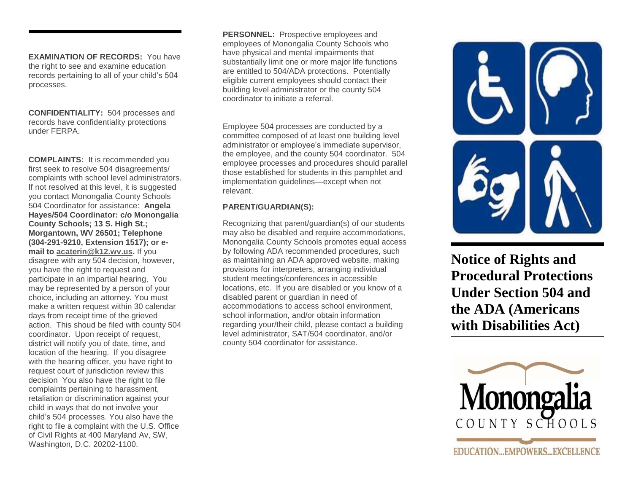**EXAMINATION OF RECORDS:** You have the right to see and examine education records pertaining to all of your child's 504 processes.

**CONFIDENTIALITY:** 504 processes and records have confidentiality protections under FERPA.

**COMPLAINTS:** It is recommended you first seek to resolve 504 disagreements/ complaints with school level administrators. If not resolved at this level, it is suggested you contact Monongalia County Schools 504 Coordinator for assistance: **Angela Hayes/504 Coordinator: c/o Monongalia County Schools; 13 S. High St.; Morgantown, WV 26501; Telephone (304-291-9210, Extension 1517); or email to [acaterin@k12.wv.us.](mailto:acaterin@k12.wv.us)** If you disagree with any 504 decision, however, you have the right to request and participate in an impartial hearing, You may be represented by a person of your choice, including an attorney. You must make a written request within 30 calendar days from receipt time of the grieved action. This shoud be filed with county 504 coordinator. Upon receipt of request, district will notify you of date, time, and location of the hearing. If you disagree with the hearing officer, you have right to request court of jurisdiction review this decision You also have the right to file complaints pertaining to harassment, retaliation or discrimination against your child in ways that do not involve your child's 504 processes. You also have the right to file a complaint with the U.S. Office of Civil Rights at 400 Maryland Av, SW, Washington, D.C. 20202-1100.

**PERSONNEL:** Prospective employees and employees of Monongalia County Schools who have physical and mental impairments that substantially limit one or more major life functions are entitled to 504/ADA protections. Potentially eligible current employees should contact their building level administrator or the county 504 coordinator to initiate a referral.

 committee composed of at least one building level Employee 504 processes are conducted by a administrator or employee's immediate supervisor, the employee, and the county 504 coordinator. 504 employee processes and procedures should parallel those established for students in this pamphlet and implementation guidelines—except when not relevant.

# **PARENT/GUARDIAN(S):**

for possib may also be disabled and require accommodations, Recognizing that parent/guardian(s) of our students Monongalia County Schools promotes equal access by following ADA recommended procedures, such as maintaining an ADA approved website, making provisions for interpreters, arranging individual student meetings/conferences in accessible locations, etc. If you are disabled or you know of a disabled parent or guardian in need of accommodations to access school environment, school information, and/or obtain information regarding your/their child, please contact a building level administrator, SAT/504 coordinator, and/or county 504 coordinator for assistance.



**Notice of Rights and Procedural Protections Under Section 504 and the ADA (Americans with Disabilities Act)**